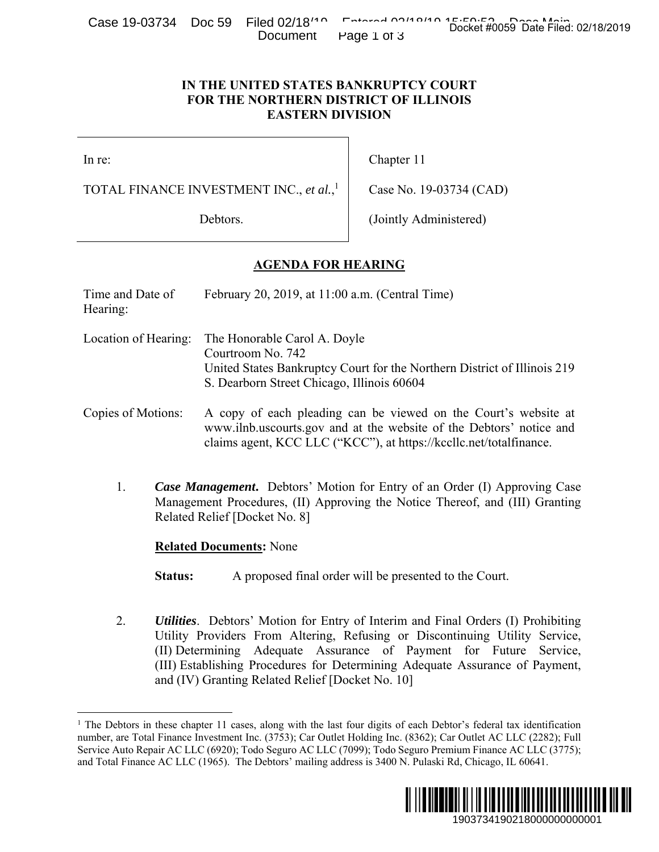Case 19-03734 Doc 59 Filed 02/18<sup>140</sup> Entered 02/19 15:50:52 Docket #0059 Date Filed: 02/18/2019 Document Page 1 of 3

#### **IN THE UNITED STATES BANKRUPTCY COURT FOR THE NORTHERN DISTRICT OF ILLINOIS EASTERN DIVISION**

 $\overline{a}$ 

# **AGENDA FOR HEARING**

| CQOC TO-001 J4 DUC JJ                                                                                     | $1 \text{ HGU}$ UZI 10<br>Document                                                              | Docket #0059 Date Filed: 02/18/2019<br>Page 1 of 3                                                                                                                                                                                                                                                                                                                                                                                                            |  |
|-----------------------------------------------------------------------------------------------------------|-------------------------------------------------------------------------------------------------|---------------------------------------------------------------------------------------------------------------------------------------------------------------------------------------------------------------------------------------------------------------------------------------------------------------------------------------------------------------------------------------------------------------------------------------------------------------|--|
| IN THE UNITED STATES BANKRUPTCY COURT<br>FOR THE NORTHERN DISTRICT OF ILLINOIS<br><b>EASTERN DIVISION</b> |                                                                                                 |                                                                                                                                                                                                                                                                                                                                                                                                                                                               |  |
| In re:                                                                                                    |                                                                                                 | Chapter 11                                                                                                                                                                                                                                                                                                                                                                                                                                                    |  |
| TOTAL FINANCE INVESTMENT INC., et al., <sup>1</sup>                                                       |                                                                                                 | Case No. 19-03734 (CAD)                                                                                                                                                                                                                                                                                                                                                                                                                                       |  |
| Debtors.                                                                                                  |                                                                                                 | (Jointly Administered)                                                                                                                                                                                                                                                                                                                                                                                                                                        |  |
|                                                                                                           | <b>AGENDA FOR HEARING</b>                                                                       |                                                                                                                                                                                                                                                                                                                                                                                                                                                               |  |
| Time and Date of<br>Hearing:                                                                              | February 20, 2019, at 11:00 a.m. (Central Time)                                                 |                                                                                                                                                                                                                                                                                                                                                                                                                                                               |  |
| Location of Hearing:                                                                                      | The Honorable Carol A. Doyle<br>Courtroom No. 742<br>S. Dearborn Street Chicago, Illinois 60604 | United States Bankruptcy Court for the Northern District of Illinois 219                                                                                                                                                                                                                                                                                                                                                                                      |  |
| Copies of Motions:                                                                                        |                                                                                                 | A copy of each pleading can be viewed on the Court's website at<br>www.ilnb.uscourts.gov and at the website of the Debtors' notice and<br>claims agent, KCC LLC ("KCC"), at https://kccllc.net/totalfinance.                                                                                                                                                                                                                                                  |  |
| 1.                                                                                                        | Related Relief [Docket No. 8]                                                                   | Case Management. Debtors' Motion for Entry of an Order (I) Approving Case<br>Management Procedures, (II) Approving the Notice Thereof, and (III) Granting                                                                                                                                                                                                                                                                                                     |  |
|                                                                                                           | <b>Related Documents: None</b>                                                                  |                                                                                                                                                                                                                                                                                                                                                                                                                                                               |  |
| <b>Status:</b>                                                                                            |                                                                                                 | A proposed final order will be presented to the Court.                                                                                                                                                                                                                                                                                                                                                                                                        |  |
| 2.                                                                                                        | and (IV) Granting Related Relief [Docket No. 10]                                                | <b>Utilities.</b> Debtors' Motion for Entry of Interim and Final Orders (I) Prohibiting<br>Utility Providers From Altering, Refusing or Discontinuing Utility Service,<br>(II) Determining Adequate Assurance of Payment for Future Service,<br>(III) Establishing Procedures for Determining Adequate Assurance of Payment,                                                                                                                                  |  |
|                                                                                                           |                                                                                                 | The Debtors in these chapter 11 cases, along with the last four digits of each Debtor's federal tax identification<br>number, are Total Finance Investment Inc. (3753); Car Outlet Holding Inc. (8362); Car Outlet AC LLC (2282); Full<br>Service Auto Repair AC LLC (6920); Todo Seguro AC LLC (7099); Todo Seguro Premium Finance AC LLC (3775);<br>and Total Finance AC LLC (1965). The Debtors' mailing address is 3400 N. Pulaski Rd, Chicago, IL 60641. |  |
|                                                                                                           |                                                                                                 | I III III<br>1903734190218000000000001                                                                                                                                                                                                                                                                                                                                                                                                                        |  |

<sup>&</sup>lt;sup>1</sup> The Debtors in these chapter 11 cases, along with the last four digits of each Debtor's federal tax identification number, are Total Finance Investment Inc. (3753); Car Outlet Holding Inc. (8362); Car Outlet AC LLC (2282); Full Service Auto Repair AC LLC (6920); Todo Seguro AC LLC (7099); Todo Seguro Premium Finance AC LLC (3775); and Total Finance AC LLC (1965). The Debtors' mailing address is 3400 N. Pulaski Rd, Chicago, IL 60641.

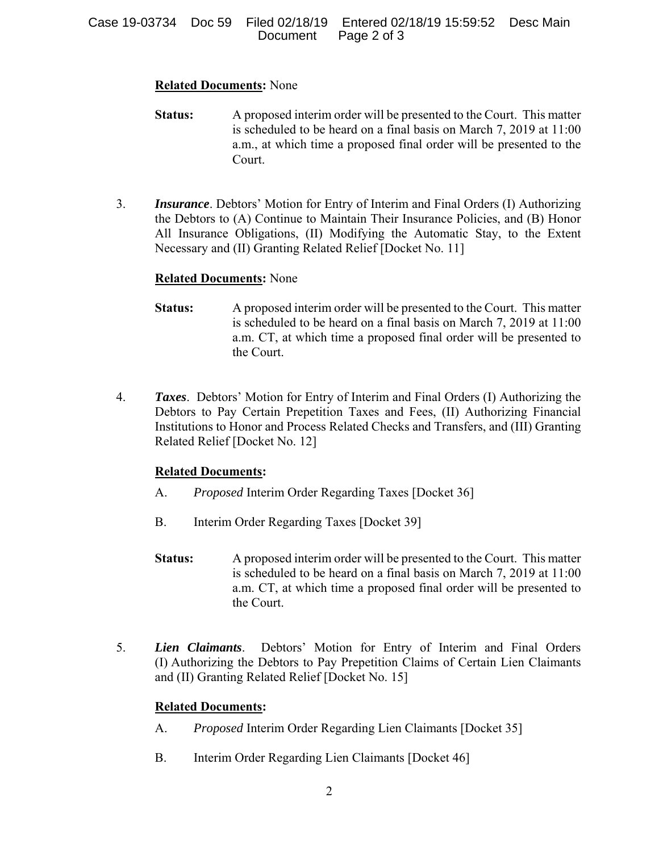### **Related Documents:** None

- **Status:** A proposed interim order will be presented to the Court. This matter is scheduled to be heard on a final basis on March 7, 2019 at 11:00 a.m., at which time a proposed final order will be presented to the Court.
- 3. *Insurance*. Debtors' Motion for Entry of Interim and Final Orders (I) Authorizing the Debtors to (A) Continue to Maintain Their Insurance Policies, and (B) Honor All Insurance Obligations, (II) Modifying the Automatic Stay, to the Extent Necessary and (II) Granting Related Relief [Docket No. 11]

# **Related Documents:** None

- **Status:** A proposed interim order will be presented to the Court. This matter is scheduled to be heard on a final basis on March 7, 2019 at 11:00 a.m. CT, at which time a proposed final order will be presented to the Court.
- 4. *Taxes*. Debtors' Motion for Entry of Interim and Final Orders (I) Authorizing the Debtors to Pay Certain Prepetition Taxes and Fees, (II) Authorizing Financial Institutions to Honor and Process Related Checks and Transfers, and (III) Granting Related Relief [Docket No. 12]

### **Related Documents:**

- A. *Proposed* Interim Order Regarding Taxes [Docket 36]
- B. Interim Order Regarding Taxes [Docket 39]
- **Status:** A proposed interim order will be presented to the Court. This matter is scheduled to be heard on a final basis on March 7, 2019 at 11:00 a.m. CT, at which time a proposed final order will be presented to the Court.
- 5. *Lien Claimants*. Debtors' Motion for Entry of Interim and Final Orders (I) Authorizing the Debtors to Pay Prepetition Claims of Certain Lien Claimants and (II) Granting Related Relief [Docket No. 15]

# **Related Documents:**

- A. *Proposed* Interim Order Regarding Lien Claimants [Docket 35]
- B. Interim Order Regarding Lien Claimants [Docket 46]